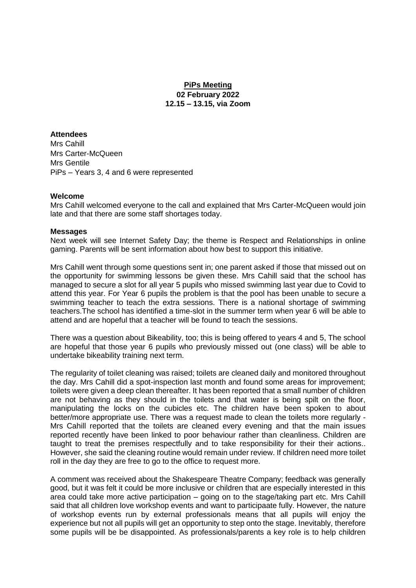# **PiPs Meeting 02 February 2022 12.15 – 13.15, via Zoom**

## **Attendees**

Mrs Cahill Mrs Carter-McQueen Mrs Gentile PiPs – Years 3, 4 and 6 were represented

#### **Welcome**

Mrs Cahill welcomed everyone to the call and explained that Mrs Carter-McQueen would join late and that there are some staff shortages today.

#### **Messages**

Next week will see Internet Safety Day; the theme is Respect and Relationships in online gaming. Parents will be sent information about how best to support this initiative.

Mrs Cahill went through some questions sent in; one parent asked if those that missed out on the opportunity for swimming lessons be given these. Mrs Cahill said that the school has managed to secure a slot for all year 5 pupils who missed swimming last year due to Covid to attend this year. For Year 6 pupils the problem is that the pool has been unable to secure a swimming teacher to teach the extra sessions. There is a national shortage of swimming teachers.The school has identified a time-slot in the summer term when year 6 will be able to attend and are hopeful that a teacher will be found to teach the sessions.

There was a question about Bikeability, too; this is being offered to years 4 and 5, The school are hopeful that those year 6 pupils who previously missed out (one class) will be able to undertake bikeability training next term.

The regularity of toilet cleaning was raised; toilets are cleaned daily and monitored throughout the day. Mrs Cahill did a spot-inspection last month and found some areas for improvement; toilets were given a deep clean thereafter. It has been reported that a small number of children are not behaving as they should in the toilets and that water is being spilt on the floor, manipulating the locks on the cubicles etc. The children have been spoken to about better/more appropriate use. There was a request made to clean the toilets more regularly - Mrs Cahill reported that the toilets are cleaned every evening and that the main issues reported recently have been linked to poor behaviour rather than cleanliness. Children are taught to treat the premises respectfully and to take responsibility for their their actions.. However, she said the cleaning routine would remain under review. If children need more toilet roll in the day they are free to go to the office to request more.

A comment was received about the Shakespeare Theatre Company; feedback was generally good, but it was felt it could be more inclusive or children that are especially interested in this area could take more active participation – going on to the stage/taking part etc. Mrs Cahill said that all children love workshop events and want to participaate fully. However, the nature of workshop events run by external professionals means that all pupils will enjoy the experience but not all pupils will get an opportunity to step onto the stage. Inevitably, therefore some pupils will be be disappointed. As professionals/parents a key role is to help children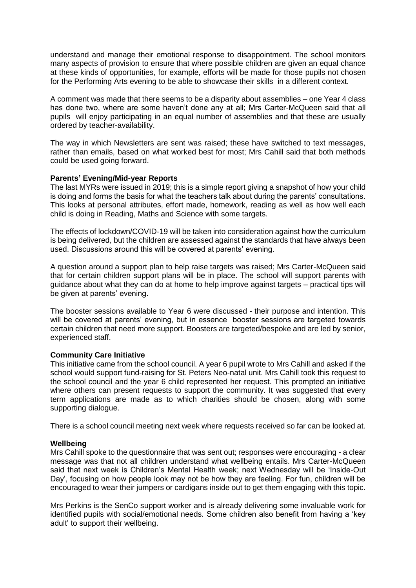understand and manage their emotional response to disappointment. The school monitors many aspects of provision to ensure that where possible children are given an equal chance at these kinds of opportunities, for example, efforts will be made for those pupils not chosen for the Performing Arts evening to be able to showcase their skills in a different context.

A comment was made that there seems to be a disparity about assemblies – one Year 4 class has done two, where are some haven't done any at all; Mrs Carter-McQueen said that all pupils will enjoy participating in an equal number of assemblies and that these are usually ordered by teacher-availability.

The way in which Newsletters are sent was raised; these have switched to text messages, rather than emails, based on what worked best for most; Mrs Cahill said that both methods could be used going forward.

#### **Parents' Evening/Mid-year Reports**

The last MYRs were issued in 2019; this is a simple report giving a snapshot of how your child is doing and forms the basis for what the teachers talk about during the parents' consultations. This looks at personal attributes, effort made, homework, reading as well as how well each child is doing in Reading, Maths and Science with some targets.

The effects of lockdown/COVID-19 will be taken into consideration against how the curriculum is being delivered, but the children are assessed against the standards that have always been used. Discussions around this will be covered at parents' evening.

A question around a support plan to help raise targets was raised; Mrs Carter-McQueen said that for certain children support plans will be in place. The school will support parents with guidance about what they can do at home to help improve against targets – practical tips will be given at parents' evening.

The booster sessions available to Year 6 were discussed - their purpose and intention. This will be covered at parents' evening, but in essence booster sessions are targeted towards certain children that need more support. Boosters are targeted/bespoke and are led by senior, experienced staff.

### **Community Care Initiative**

This initiative came from the school council. A year 6 pupil wrote to Mrs Cahill and asked if the school would support fund-raising for St. Peters Neo-natal unit. Mrs Cahill took this request to the school council and the year 6 child represented her request. This prompted an initiative where others can present requests to support the community. It was suggested that every term applications are made as to which charities should be chosen, along with some supporting dialogue.

There is a school council meeting next week where requests received so far can be looked at.

### **Wellbeing**

Mrs Cahill spoke to the questionnaire that was sent out; responses were encouraging - a clear message was that not all children understand what wellbeing entails. Mrs Carter-McQueen said that next week is Children's Mental Health week; next Wednesday will be 'Inside-Out Day', focusing on how people look may not be how they are feeling. For fun, children will be encouraged to wear their jumpers or cardigans inside out to get them engaging with this topic.

Mrs Perkins is the SenCo support worker and is already delivering some invaluable work for identified pupils with social/emotional needs. Some children also benefit from having a 'key adult' to support their wellbeing.